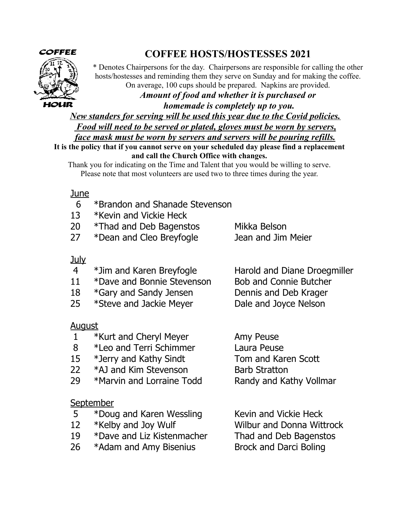

# **COFFEE HOSTS/HOSTESSES 2021**

\* Denotes Chairpersons for the day. Chairpersons are responsible for calling the other hosts/hostesses and reminding them they serve on Sunday and for making the coffee. On average, 100 cups should be prepared. Napkins are provided.

*Amount of food and whether it is purchased or*

*homemade is completely up to you.*

*New standers for serving will be used this year due to the Covid policies.*

*Food will need to be served or plated, gloves must be worn by servers,*

*face mask must be worn by servers and servers will be pouring refills.*

**It is the policy that if you cannot serve on your scheduled day please find a replacement and call the Church Office with changes.**

Thank you for indicating on the Time and Talent that you would be willing to serve. Please note that most volunteers are used two to three times during the year.

### June

- 6 \*Brandon and Shanade Stevenson
- 13 \*Kevin and Vickie Heck
- 20 \*Thad and Deb Bagenstos Mikka Belson
- 27 \*Dean and Cleo Breyfogle Jean and Jim Meier

### July

- 4 \*Jim and Karen Breyfogle Harold and Diane Droegmiller
- 11 \*Dave and Bonnie Stevenson Bob and Connie Butcher
- 18 \*Gary and Sandy Jensen Dennis and Deb Krager
- 25 \*Steve and Jackie Meyer Dale and Joyce Nelson

### <u>August</u>

- 1 \*Kurt and Cheryl Meyer Amy Peuse
- 8 \*Leo and Terri Schimmer Laura Peuse
- 15 \*Jerry and Kathy Sindt Tom and Karen Scott
- 22 \*AJ and Kim Stevenson Barb Stratton
- 29 \*Marvin and Lorraine Todd Randy and Kathy Vollmar

### **September**

- 5 \*Doug and Karen Wessling Kevin and Vickie Heck
- 
- 19 \*Dave and Liz Kistenmacher Thad and Deb Bagenstos
- 26 \*Adam and Amy Bisenius Brock and Darci Boling

12 \*Kelby and Joy Wulf Wilbur and Donna Wittrock